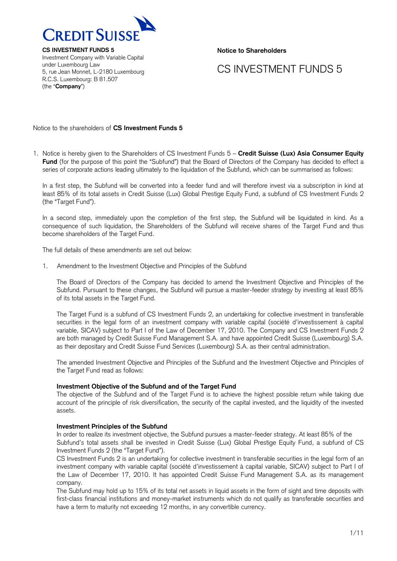

Investment Company with Variable Capital under Luxembourg Law 5, rue Jean Monnet, L-2180 Luxembourg R.C.S. Luxembourg: B 81.507 (the "**Company**")

**Notice to Shareholders**

# CS INVESTMENT FUNDS 5

Notice to the shareholders of **CS Investment Funds 5**

1. Notice is hereby given to the Shareholders of CS Investment Funds 5 – **Credit Suisse (Lux) Asia Consumer Equity Fund** (for the purpose of this point the "Subfund") that the Board of Directors of the Company has decided to effect a series of corporate actions leading ultimately to the liquidation of the Subfund, which can be summarised as follows:

In a first step, the Subfund will be converted into a feeder fund and will therefore invest via a subscription in kind at least 85% of its total assets in Credit Suisse (Lux) Global Prestige Equity Fund, a subfund of CS Investment Funds 2 (the "Target Fund").

In a second step, immediately upon the completion of the first step, the Subfund will be liquidated in kind. As a consequence of such liquidation, the Shareholders of the Subfund will receive shares of the Target Fund and thus become shareholders of the Target Fund.

The full details of these amendments are set out below:

1. Amendment to the Investment Objective and Principles of the Subfund

The Board of Directors of the Company has decided to amend the Investment Objective and Principles of the Subfund. Pursuant to these changes, the Subfund will pursue a master-feeder strategy by investing at least 85% of its total assets in the Target Fund.

The Target Fund is a subfund of CS Investment Funds 2, an undertaking for collective investment in transferable securities in the legal form of an investment company with variable capital (société d'investissement à capital variable, SICAV) subject to Part I of the Law of December 17, 2010. The Company and CS Investment Funds 2 are both managed by Credit Suisse Fund Management S.A. and have appointed Credit Suisse (Luxembourg) S.A. as their depositary and Credit Suisse Fund Services (Luxembourg) S.A. as their central administration.

The amended Investment Objective and Principles of the Subfund and the Investment Objective and Principles of the Target Fund read as follows:

## **Investment Objective of the Subfund and of the Target Fund**

The objective of the Subfund and of the Target Fund is to achieve the highest possible return while taking due account of the principle of risk diversification, the security of the capital invested, and the liquidity of the invested assets.

## **Investment Principles of the Subfund**

In order to realize its investment objective, the Subfund pursues a master-feeder strategy. At least 85% of the Subfund's total assets shall be invested in Credit Suisse (Lux) Global Prestige Equity Fund, a subfund of CS Investment Funds 2 (the "Target Fund").

CS Investment Funds 2 is an undertaking for collective investment in transferable securities in the legal form of an investment company with variable capital (société d'investissement à capital variable, SICAV) subject to Part I of the Law of December 17, 2010. It has appointed Credit Suisse Fund Management S.A. as its management company.

The Subfund may hold up to 15% of its total net assets in liquid assets in the form of sight and time deposits with first-class financial institutions and money-market instruments which do not qualify as transferable securities and have a term to maturity not exceeding 12 months, in any convertible currency.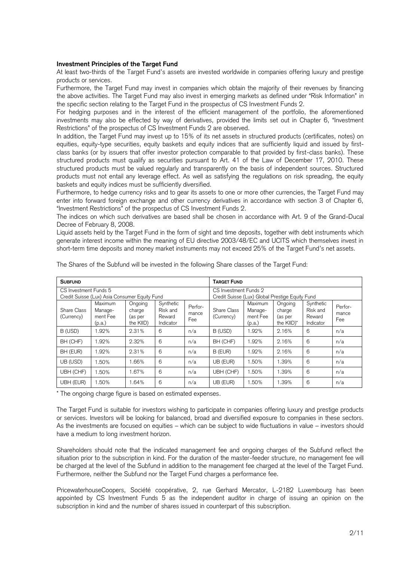## **Investment Principles of the Target Fund**

At least two-thirds of the Target Fund's assets are invested worldwide in companies offering luxury and prestige products or services.

Furthermore, the Target Fund may invest in companies which obtain the majority of their revenues by financing the above activities. The Target Fund may also invest in emerging markets as defined under "Risk Information" in the specific section relating to the Target Fund in the prospectus of CS Investment Funds 2.

For hedging purposes and in the interest of the efficient management of the portfolio, the aforementioned investments may also be effected by way of derivatives, provided the limits set out in Chapter 6, "Investment Restrictions" of the prospectus of CS Investment Funds 2 are observed.

In addition, the Target Fund may invest up to 15% of its net assets in structured products (certificates, notes) on equities, equity-type securities, equity baskets and equity indices that are sufficiently liquid and issued by firstclass banks (or by issuers that offer investor protection comparable to that provided by first-class banks). These structured products must qualify as securities pursuant to Art. 41 of the Law of December 17, 2010. These structured products must be valued regularly and transparently on the basis of independent sources. Structured products must not entail any leverage effect. As well as satisfying the regulations on risk spreading, the equity baskets and equity indices must be sufficiently diversified.

Furthermore, to hedge currency risks and to gear its assets to one or more other currencies, the Target Fund may enter into forward foreign exchange and other currency derivatives in accordance with section 3 of Chapter 6, "Investment Restrictions" of the prospectus of CS Investment Funds 2.

The indices on which such derivatives are based shall be chosen in accordance with Art. 9 of the Grand-Ducal Decree of February 8, 2008.

Liquid assets held by the Target Fund in the form of sight and time deposits, together with debt instruments which generate interest income within the meaning of EU directive 2003/48/EC and UCITS which themselves invest in short-term time deposits and money market instruments may not exceed 25% of the Target Fund's net assets.

| <b>SUBFUND</b>                                                         |                                          |                                           |                                              | <b>TARGET FUND</b>                                                       |                           |                                          |                                                       |                                              |                         |
|------------------------------------------------------------------------|------------------------------------------|-------------------------------------------|----------------------------------------------|--------------------------------------------------------------------------|---------------------------|------------------------------------------|-------------------------------------------------------|----------------------------------------------|-------------------------|
| CS Investment Funds 5<br>Credit Suisse (Lux) Asia Consumer Equity Fund |                                          |                                           |                                              | CS Investment Funds 2<br>Credit Suisse (Lux) Global Prestige Equity Fund |                           |                                          |                                                       |                                              |                         |
| Share Class<br>(Currency)                                              | Maximum<br>Manage-<br>ment Fee<br>(p.a.) | Ongoing<br>charge<br>(as per<br>the KIID) | Synthetic<br>Risk and<br>Reward<br>Indicator | Perfor-<br>mance<br>Fee                                                  | Share Class<br>(Currency) | Maximum<br>Manage-<br>ment Fee<br>(p.a.) | Ongoing<br>charge<br>(as per<br>the KIID <sup>*</sup> | Synthetic<br>Risk and<br>Reward<br>Indicator | Perfor-<br>mance<br>Fee |
| B (USD)                                                                | 1.92%                                    | 2.31%                                     | 6                                            | n/a                                                                      | B (USD)                   | 1.92%                                    | 2.16%                                                 | 6                                            | n/a                     |
| BH (CHF)                                                               | 1.92%                                    | 2.32%                                     | 6                                            | n/a                                                                      | BH (CHF)                  | 1.92%                                    | 2.16%                                                 | 6                                            | n/a                     |
| BH (EUR)                                                               | 1.92%                                    | 2.31%                                     | 6                                            | n/a                                                                      | B (EUR)                   | 1.92%                                    | 2.16%                                                 | 6                                            | n/a                     |
| UB (USD)                                                               | .50%                                     | 1.66%                                     | 6                                            | n/a                                                                      | UB (EUR)                  | 1.50%                                    | 1.39%                                                 | 6                                            | n/a                     |
| UBH (CHF)                                                              | .50%                                     | 1.67%                                     | 6                                            | n/a                                                                      | UBH (CHF)                 | 1.50%                                    | 1.39%                                                 | 6                                            | n/a                     |
| UBH (EUR)                                                              | 1.50%                                    | 1.64%                                     | 6                                            | n/a                                                                      | UB (EUR)                  | 1.50%                                    | 1.39%                                                 | 6                                            | n/a                     |

The Shares of the Subfund will be invested in the following Share classes of the Target Fund:

\* The ongoing charge figure is based on estimated expenses.

The Target Fund is suitable for investors wishing to participate in companies offering luxury and prestige products or services. Investors will be looking for balanced, broad and diversified exposure to companies in these sectors. As the investments are focused on equities – which can be subject to wide fluctuations in value – investors should have a medium to long investment horizon.

Shareholders should note that the indicated management fee and ongoing charges of the Subfund reflect the situation prior to the subscription in kind. For the duration of the master-feeder structure, no management fee will be charged at the level of the Subfund in addition to the management fee charged at the level of the Target Fund. Furthermore, neither the Subfund nor the Target Fund charges a performance fee.

PricewaterhouseCoopers, Société coopérative, 2, rue Gerhard Mercator, L-2182 Luxembourg has been appointed by CS Investment Funds 5 as the independent auditor in charge of issuing an opinion on the subscription in kind and the number of shares issued in counterpart of this subscription.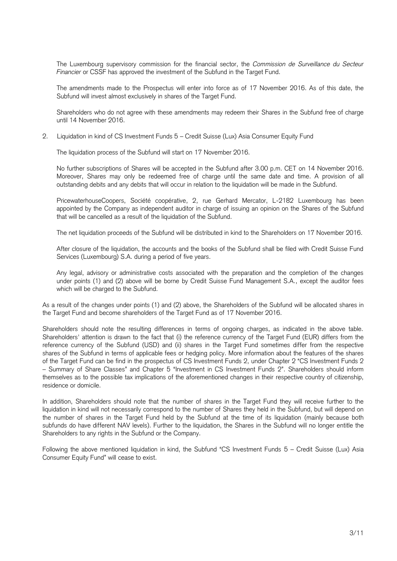The Luxembourg supervisory commission for the financial sector, the *Commission de Surveillance du Secteur Financier* or CSSF has approved the investment of the Subfund in the Target Fund.

The amendments made to the Prospectus will enter into force as of 17 November 2016. As of this date, the Subfund will invest almost exclusively in shares of the Target Fund.

Shareholders who do not agree with these amendments may redeem their Shares in the Subfund free of charge until 14 November 2016.

2. Liquidation in kind of CS Investment Funds 5 – Credit Suisse (Lux) Asia Consumer Equity Fund

The liquidation process of the Subfund will start on 17 November 2016.

No further subscriptions of Shares will be accepted in the Subfund after 3.00 p.m. CET on 14 November 2016. Moreover, Shares may only be redeemed free of charge until the same date and time. A provision of all outstanding debits and any debits that will occur in relation to the liquidation will be made in the Subfund.

PricewaterhouseCoopers, Société coopérative, 2, rue Gerhard Mercator, L-2182 Luxembourg has been appointed by the Company as independent auditor in charge of issuing an opinion on the Shares of the Subfund that will be cancelled as a result of the liquidation of the Subfund.

The net liquidation proceeds of the Subfund will be distributed in kind to the Shareholders on 17 November 2016.

After closure of the liquidation, the accounts and the books of the Subfund shall be filed with Credit Suisse Fund Services (Luxembourg) S.A. during a period of five years.

Any legal, advisory or administrative costs associated with the preparation and the completion of the changes under points (1) and (2) above will be borne by Credit Suisse Fund Management S.A., except the auditor fees which will be charged to the Subfund.

As a result of the changes under points (1) and (2) above, the Shareholders of the Subfund will be allocated shares in the Target Fund and become shareholders of the Target Fund as of 17 November 2016.

Shareholders should note the resulting differences in terms of ongoing charges, as indicated in the above table. Shareholders' attention is drawn to the fact that (i) the reference currency of the Target Fund (EUR) differs from the reference currency of the Subfund (USD) and (ii) shares in the Target Fund sometimes differ from the respective shares of the Subfund in terms of applicable fees or hedging policy. More information about the features of the shares of the Target Fund can be find in the prospectus of CS Investment Funds 2, under Chapter 2 "CS Investment Funds 2 – Summary of Share Classes" and Chapter 5 "Investment in CS Investment Funds 2". Shareholders should inform themselves as to the possible tax implications of the aforementioned changes in their respective country of citizenship, residence or domicile.

In addition, Shareholders should note that the number of shares in the Target Fund they will receive further to the liquidation in kind will not necessarily correspond to the number of Shares they held in the Subfund, but will depend on the number of shares in the Target Fund held by the Subfund at the time of its liquidation (mainly because both subfunds do have different NAV levels). Further to the liquidation, the Shares in the Subfund will no longer entitle the Shareholders to any rights in the Subfund or the Company.

Following the above mentioned liquidation in kind, the Subfund "CS Investment Funds 5 – Credit Suisse (Lux) Asia Consumer Equity Fund" will cease to exist.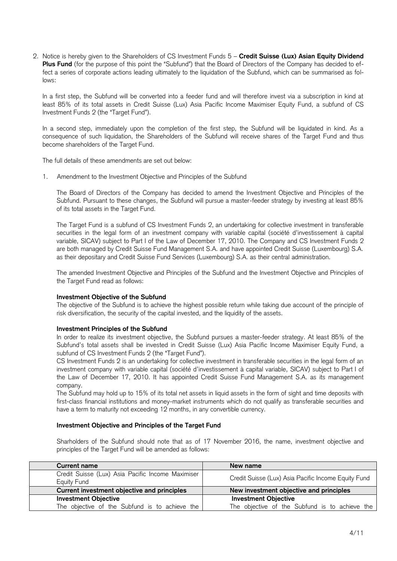2. Notice is hereby given to the Shareholders of CS Investment Funds 5 – **Credit Suisse (Lux) Asian Equity Dividend**  Plus Fund (for the purpose of this point the "Subfund") that the Board of Directors of the Company has decided to effect a series of corporate actions leading ultimately to the liquidation of the Subfund, which can be summarised as follows:

In a first step, the Subfund will be converted into a feeder fund and will therefore invest via a subscription in kind at least 85% of its total assets in Credit Suisse (Lux) Asia Pacific Income Maximiser Equity Fund, a subfund of CS Investment Funds 2 (the "Target Fund").

In a second step, immediately upon the completion of the first step, the Subfund will be liquidated in kind. As a consequence of such liquidation, the Shareholders of the Subfund will receive shares of the Target Fund and thus become shareholders of the Target Fund.

The full details of these amendments are set out below:

1. Amendment to the Investment Objective and Principles of the Subfund

The Board of Directors of the Company has decided to amend the Investment Objective and Principles of the Subfund. Pursuant to these changes, the Subfund will pursue a master-feeder strategy by investing at least 85% of its total assets in the Target Fund.

The Target Fund is a subfund of CS Investment Funds 2, an undertaking for collective investment in transferable securities in the legal form of an investment company with variable capital (société d'investissement à capital variable, SICAV) subject to Part I of the Law of December 17, 2010. The Company and CS Investment Funds 2 are both managed by Credit Suisse Fund Management S.A. and have appointed Credit Suisse (Luxembourg) S.A. as their depositary and Credit Suisse Fund Services (Luxembourg) S.A. as their central administration.

The amended Investment Objective and Principles of the Subfund and the Investment Objective and Principles of the Target Fund read as follows:

# **Investment Objective of the Subfund**

The objective of the Subfund is to achieve the highest possible return while taking due account of the principle of risk diversification, the security of the capital invested, and the liquidity of the assets.

## **Investment Principles of the Subfund**

In order to realize its investment objective, the Subfund pursues a master-feeder strategy. At least 85% of the Subfund's total assets shall be invested in Credit Suisse (Lux) Asia Pacific Income Maximiser Equity Fund, a subfund of CS Investment Funds 2 (the "Target Fund").

CS Investment Funds 2 is an undertaking for collective investment in transferable securities in the legal form of an investment company with variable capital (société d'investissement à capital variable, SICAV) subject to Part I of the Law of December 17, 2010. It has appointed Credit Suisse Fund Management S.A. as its management company.

The Subfund may hold up to 15% of its total net assets in liquid assets in the form of sight and time deposits with first-class financial institutions and money-market instruments which do not qualify as transferable securities and have a term to maturity not exceeding 12 months, in any convertible currency.

## **Investment Objective and Principles of the Target Fund**

Sharholders of the Subfund should note that as of 17 November 2016, the name, investment objective and principles of the Target Fund will be amended as follows:

| <b>Current name</b>                                              | New name                                            |  |  |  |  |  |
|------------------------------------------------------------------|-----------------------------------------------------|--|--|--|--|--|
| Credit Suisse (Lux) Asia Pacific Income Maximiser<br>Eauity Fund | Credit Suisse (Lux) Asia Pacific Income Equity Fund |  |  |  |  |  |
| Current investment objective and principles                      | New investment objective and principles             |  |  |  |  |  |
| <b>Investment Objective</b>                                      | <b>Investment Objective</b>                         |  |  |  |  |  |
| The objective of the Subfund is to achieve the                   | The objective of the Subfund is to achieve the      |  |  |  |  |  |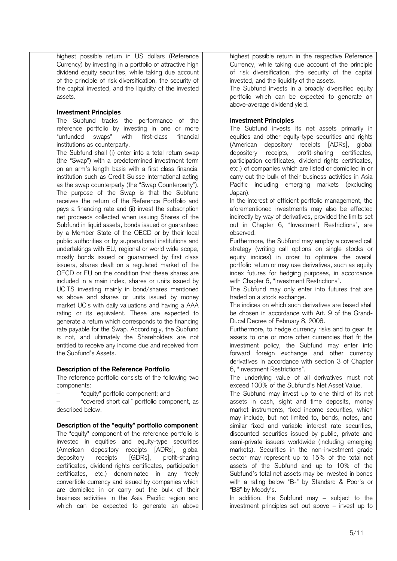highest possible return in US dollars (Reference Currency) by investing in a portfolio of attractive high dividend equity securities, while taking due account of the principle of risk diversification, the security of the capital invested, and the liquidity of the invested assets.

## **Investment Principles**

The Subfund tracks the performance of the reference portfolio by investing in one or more "unfunded swaps" with first-class financial institutions as counterparty.

The Subfund shall (i) enter into a total return swap (the "Swap") with a predetermined investment term on an arm's length basis with a first class financial institution such as Credit Suisse International acting as the swap counterparty (the "Swap Counterparty"). The purpose of the Swap is that the Subfund receives the return of the Reference Portfolio and pays a financing rate and (ii) invest the subscription net proceeds collected when issuing Shares of the Subfund in liquid assets, bonds issued or guaranteed by a Member State of the OECD or by their local public authorities or by supranational institutions and undertakings with EU, regional or world wide scope, mostly bonds issued or guaranteed by first class issuers, shares dealt on a regulated market of the OECD or EU on the condition that these shares are included in a main index, shares or units issued by UCITS investing mainly in bond/shares mentioned as above and shares or units issued by money market UCIs with daily valuations and having a AAA rating or its equivalent. These are expected to generate a return which corresponds to the financing rate payable for the Swap. Accordingly, the Subfund is not, and ultimately the Shareholders are not entitled to receive any income due and received from the Subfund's Assets.

# **Description of the Reference Portfolio**

The reference portfolio consists of the following two components:

"equity" portfolio component; and

– "covered short call" portfolio component, as described below.

# **Description of the "equity" portfolio component**

The "equity" component of the reference portfolio is invested in equities and equity-type securities (American depository receipts [ADRs], global depository receipts [GDRs], profit-sharing certificates, dividend rights certificates, participation certificates, etc.) denominated in any freely convertible currency and issued by companies which are domiciled in or carry out the bulk of their business activities in the Asia Pacific region and which can be expected to generate an above

highest possible return in the respective Reference Currency, while taking due account of the principle of risk diversification, the security of the capital invested, and the liquidity of the assets.

The Subfund invests in a broadly diversified equity portfolio which can be expected to generate an above-average dividend yield.

# **Investment Principles**

The Subfund invests its net assets primarily in equities and other equity-type securities and rights (American depository receipts [ADRs], global depository receipts, profit-sharing certificates, participation certificates, dividend rights certificates, etc.) of companies which are listed or domiciled in or carry out the bulk of their business activities in Asia Pacific including emerging markets (excluding Japan).

In the interest of efficient portfolio management, the aforementioned investments may also be effected indirectly by way of derivatives, provided the limits set out in Chapter 6, "Investment Restrictions", are observed.

Furthermore, the Subfund may employ a covered call strategy (writing call options on single stocks or equity indices) in order to optimize the overall portfolio return or may use derivatives, such as equity index futures for hedging purposes, in accordance with Chapter 6, "Investment Restrictions".

The Subfund may only enter into futures that are traded on a stock exchange.

The indices on which such derivatives are based shall be chosen in accordance with Art. 9 of the Grand-Ducal Decree of February 8, 2008.

Furthermore, to hedge currency risks and to gear its assets to one or more other currencies that fit the investment policy, the Subfund may enter into forward foreign exchange and other currency derivatives in accordance with section 3 of Chapter 6, "Investment Restrictions".

The underlying value of all derivatives must not exceed 100% of the Subfund's Net Asset Value.

The Subfund may invest up to one third of its net assets in cash, sight and time deposits, money market instruments, fixed income securities, which may include, but not limited to, bonds, notes, and similar fixed and variable interest rate securities, discounted securities issued by public, private and semi-private issuers worldwide (including emerging markets). Securities in the non-investment grade sector may represent up to 15% of the total net assets of the Subfund and up to 10% of the Subfund's total net assets may be invested in bonds with a rating below "B-" by Standard & Poor's or "B3" by Moody's.

In addition, the Subfund may – subject to the investment principles set out above – invest up to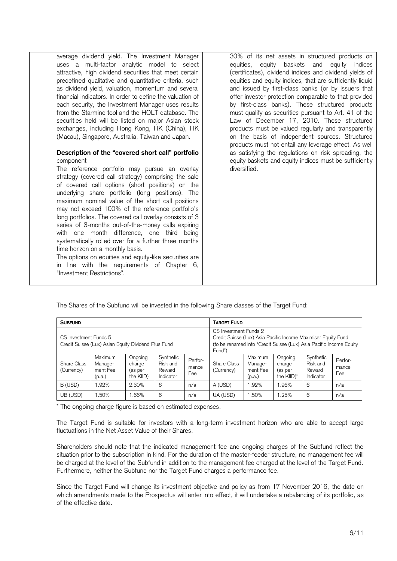| average dividend yield. The Investment Manager                                                                                                                                                                                                                                                                                                                                                                                                                                                                                                                                                                                                       | 30% of its net assets in structured products on                                                                                                                                         |
|------------------------------------------------------------------------------------------------------------------------------------------------------------------------------------------------------------------------------------------------------------------------------------------------------------------------------------------------------------------------------------------------------------------------------------------------------------------------------------------------------------------------------------------------------------------------------------------------------------------------------------------------------|-----------------------------------------------------------------------------------------------------------------------------------------------------------------------------------------|
| uses a multi-factor analytic model to select                                                                                                                                                                                                                                                                                                                                                                                                                                                                                                                                                                                                         | equities, equity baskets and equity indices                                                                                                                                             |
| attractive, high dividend securities that meet certain                                                                                                                                                                                                                                                                                                                                                                                                                                                                                                                                                                                               | (certificates), dividend indices and dividend yields of                                                                                                                                 |
| predefined qualitative and quantitative criteria, such                                                                                                                                                                                                                                                                                                                                                                                                                                                                                                                                                                                               | equities and equity indices, that are sufficiently liquid                                                                                                                               |
| as dividend yield, valuation, momentum and several                                                                                                                                                                                                                                                                                                                                                                                                                                                                                                                                                                                                   | and issued by first-class banks (or by issuers that                                                                                                                                     |
| financial indicators. In order to define the valuation of                                                                                                                                                                                                                                                                                                                                                                                                                                                                                                                                                                                            | offer investor protection comparable to that provided                                                                                                                                   |
| each security, the Investment Manager uses results                                                                                                                                                                                                                                                                                                                                                                                                                                                                                                                                                                                                   | by first-class banks). These structured products                                                                                                                                        |
| from the Starmine tool and the HOLT database. The                                                                                                                                                                                                                                                                                                                                                                                                                                                                                                                                                                                                    | must qualify as securities pursuant to Art. 41 of the                                                                                                                                   |
| securities held will be listed on major Asian stock                                                                                                                                                                                                                                                                                                                                                                                                                                                                                                                                                                                                  | Law of December 17, 2010. These structured                                                                                                                                              |
| exchanges, including Hong Kong, HK (China), HK                                                                                                                                                                                                                                                                                                                                                                                                                                                                                                                                                                                                       | products must be valued regularly and transparently                                                                                                                                     |
| (Macau), Singapore, Australia, Taiwan and Japan.                                                                                                                                                                                                                                                                                                                                                                                                                                                                                                                                                                                                     | on the basis of independent sources. Structured                                                                                                                                         |
| Description of the "covered short call" portfolio<br>component<br>The reference portfolio may pursue an overlay<br>strategy (covered call strategy) comprising the sale<br>of covered call options (short positions) on the<br>underlying share portfolio (long positions). The<br>maximum nominal value of the short call positions<br>may not exceed 100% of the reference portfolio's<br>long portfolios. The covered call overlay consists of 3<br>series of 3-months out-of-the-money calls expiring<br>with one month difference, one third being<br>systematically rolled over for a further three months<br>time horizon on a monthly basis. | products must not entail any leverage effect. As well<br>as satisfying the regulations on risk spreading, the<br>equity baskets and equity indices must be sufficiently<br>diversified. |

The options on equities and equity-like securities are in line with the requirements of Chapter 6, "Investment Restrictions".

| The Shares of the Subfund will be invested in the following Share classes of the Target Fund: |  |  |  |
|-----------------------------------------------------------------------------------------------|--|--|--|

| <b>SUBFUND</b>                                                               |                                          |                                           |                                              | <b>TARGET FUND</b>                                                                                                                                                      |                           |                                          |                                            |                                              |                         |
|------------------------------------------------------------------------------|------------------------------------------|-------------------------------------------|----------------------------------------------|-------------------------------------------------------------------------------------------------------------------------------------------------------------------------|---------------------------|------------------------------------------|--------------------------------------------|----------------------------------------------|-------------------------|
| CS Investment Funds 5<br>Credit Suisse (Lux) Asian Equity Dividend Plus Fund |                                          |                                           |                                              | CS Investment Funds 2<br>Credit Suisse (Lux) Asia Pacific Income Maximiser Equity Fund<br>(to be renamed into "Credit Suisse (Lux) Asia Pacific Income Equity<br>Fund") |                           |                                          |                                            |                                              |                         |
| Share Class<br>(Currency)                                                    | Maximum<br>Manage-<br>ment Fee<br>(p.a.) | Ongoing<br>charge<br>(as per<br>the KIID) | Synthetic<br>Risk and<br>Reward<br>Indicator | Perfor-<br>mance<br>Fee                                                                                                                                                 | Share Class<br>(Currency) | Maximum<br>Manage-<br>ment Fee<br>(p.a.) | Ongoing<br>charge<br>(as per<br>the KIID)* | Synthetic<br>Risk and<br>Reward<br>Indicator | Perfor-<br>mance<br>Fee |
| B (USD)                                                                      | 1.92%                                    | 2.30%                                     | 6                                            | n/a                                                                                                                                                                     | A (USD)                   | 1.92%                                    | .96%                                       | 6                                            | n/a                     |
| UB (USD)                                                                     | 1.50%                                    | .66%                                      | 6                                            | n/a                                                                                                                                                                     | UA (USD)                  | 1.50%                                    | 1.25%                                      | 6                                            | n/a                     |

\* The ongoing charge figure is based on estimated expenses.

The Target Fund is suitable for investors with a long-term investment horizon who are able to accept large fluctuations in the Net Asset Value of their Shares.

Shareholders should note that the indicated management fee and ongoing charges of the Subfund reflect the situation prior to the subscription in kind. For the duration of the master-feeder structure, no management fee will be charged at the level of the Subfund in addition to the management fee charged at the level of the Target Fund. Furthermore, neither the Subfund nor the Target Fund charges a performance fee.

Since the Target Fund will change its investment objective and policy as from 17 November 2016, the date on which amendments made to the Prospectus will enter into effect, it will undertake a rebalancing of its portfolio, as of the effective date.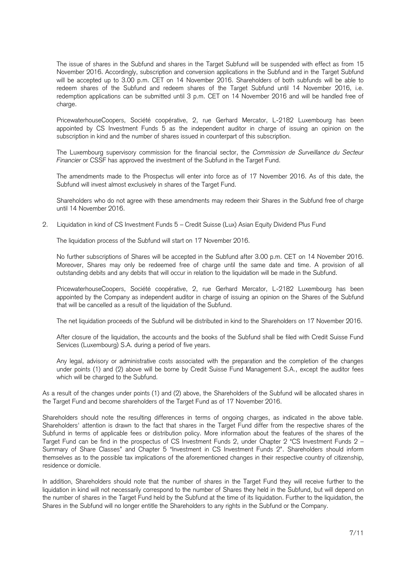The issue of shares in the Subfund and shares in the Target Subfund will be suspended with effect as from 15 November 2016. Accordingly, subscription and conversion applications in the Subfund and in the Target Subfund will be accepted up to 3.00 p.m. CET on 14 November 2016. Shareholders of both subfunds will be able to redeem shares of the Subfund and redeem shares of the Target Subfund until 14 November 2016, i.e. redemption applications can be submitted until 3 p.m. CET on 14 November 2016 and will be handled free of charge.

PricewaterhouseCoopers, Société coopérative, 2, rue Gerhard Mercator, L-2182 Luxembourg has been appointed by CS Investment Funds 5 as the independent auditor in charge of issuing an opinion on the subscription in kind and the number of shares issued in counterpart of this subscription.

The Luxembourg supervisory commission for the financial sector, the *Commission de Surveillance du Secteur Financier* or CSSF has approved the investment of the Subfund in the Target Fund.

The amendments made to the Prospectus will enter into force as of 17 November 2016. As of this date, the Subfund will invest almost exclusively in shares of the Target Fund.

Shareholders who do not agree with these amendments may redeem their Shares in the Subfund free of charge until 14 November 2016.

2. Liquidation in kind of CS Investment Funds 5 – Credit Suisse (Lux) Asian Equity Dividend Plus Fund

The liquidation process of the Subfund will start on 17 November 2016.

No further subscriptions of Shares will be accepted in the Subfund after 3.00 p.m. CET on 14 November 2016. Moreover, Shares may only be redeemed free of charge until the same date and time. A provision of all outstanding debits and any debits that will occur in relation to the liquidation will be made in the Subfund.

PricewaterhouseCoopers, Société coopérative, 2, rue Gerhard Mercator, L-2182 Luxembourg has been appointed by the Company as independent auditor in charge of issuing an opinion on the Shares of the Subfund that will be cancelled as a result of the liquidation of the Subfund.

The net liquidation proceeds of the Subfund will be distributed in kind to the Shareholders on 17 November 2016.

After closure of the liquidation, the accounts and the books of the Subfund shall be filed with Credit Suisse Fund Services (Luxembourg) S.A. during a period of five years.

Any legal, advisory or administrative costs associated with the preparation and the completion of the changes under points (1) and (2) above will be borne by Credit Suisse Fund Management S.A., except the auditor fees which will be charged to the Subfund.

As a result of the changes under points (1) and (2) above, the Shareholders of the Subfund will be allocated shares in the Target Fund and become shareholders of the Target Fund as of 17 November 2016.

Shareholders should note the resulting differences in terms of ongoing charges, as indicated in the above table. Shareholders' attention is drawn to the fact that shares in the Target Fund differ from the respective shares of the Subfund in terms of applicable fees or distribution policy. More information about the features of the shares of the Target Fund can be find in the prospectus of CS Investment Funds 2, under Chapter 2 "CS Investment Funds 2 – Summary of Share Classes" and Chapter 5 "Investment in CS Investment Funds 2". Shareholders should inform themselves as to the possible tax implications of the aforementioned changes in their respective country of citizenship, residence or domicile.

In addition, Shareholders should note that the number of shares in the Target Fund they will receive further to the liquidation in kind will not necessarily correspond to the number of Shares they held in the Subfund, but will depend on the number of shares in the Target Fund held by the Subfund at the time of its liquidation. Further to the liquidation, the Shares in the Subfund will no longer entitle the Shareholders to any rights in the Subfund or the Company.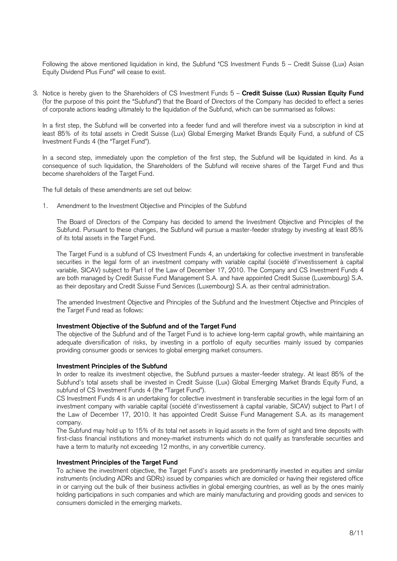Following the above mentioned liquidation in kind, the Subfund "CS Investment Funds 5 – Credit Suisse (Lux) Asian Equity Dividend Plus Fund" will cease to exist.

3. Notice is hereby given to the Shareholders of CS Investment Funds 5 – **Credit Suisse (Lux) Russian Equity Fund** (for the purpose of this point the "Subfund") that the Board of Directors of the Company has decided to effect a series of corporate actions leading ultimately to the liquidation of the Subfund, which can be summarised as follows:

In a first step, the Subfund will be converted into a feeder fund and will therefore invest via a subscription in kind at least 85% of its total assets in Credit Suisse (Lux) Global Emerging Market Brands Equity Fund, a subfund of CS Investment Funds 4 (the "Target Fund").

In a second step, immediately upon the completion of the first step, the Subfund will be liquidated in kind. As a consequence of such liquidation, the Shareholders of the Subfund will receive shares of the Target Fund and thus become shareholders of the Target Fund.

The full details of these amendments are set out below:

1. Amendment to the Investment Objective and Principles of the Subfund

The Board of Directors of the Company has decided to amend the Investment Objective and Principles of the Subfund. Pursuant to these changes, the Subfund will pursue a master-feeder strategy by investing at least 85% of its total assets in the Target Fund.

The Target Fund is a subfund of CS Investment Funds 4, an undertaking for collective investment in transferable securities in the legal form of an investment company with variable capital (société d'investissement à capital variable, SICAV) subject to Part I of the Law of December 17, 2010. The Company and CS Investment Funds 4 are both managed by Credit Suisse Fund Management S.A. and have appointed Credit Suisse (Luxembourg) S.A. as their depositary and Credit Suisse Fund Services (Luxembourg) S.A. as their central administration.

The amended Investment Objective and Principles of the Subfund and the Investment Objective and Principles of the Target Fund read as follows:

## **Investment Objective of the Subfund and of the Target Fund**

The objective of the Subfund and of the Target Fund is to achieve long-term capital growth, while maintaining an adequate diversification of risks, by investing in a portfolio of equity securities mainly issued by companies providing consumer goods or services to global emerging market consumers.

## **Investment Principles of the Subfund**

In order to realize its investment objective, the Subfund pursues a master-feeder strategy. At least 85% of the Subfund's total assets shall be invested in Credit Suisse (Lux) Global Emerging Market Brands Equity Fund, a subfund of CS Investment Funds 4 (the "Target Fund").

CS Investment Funds 4 is an undertaking for collective investment in transferable securities in the legal form of an investment company with variable capital (société d'investissement à capital variable, SICAV) subject to Part I of the Law of December 17, 2010. It has appointed Credit Suisse Fund Management S.A. as its management company.

The Subfund may hold up to 15% of its total net assets in liquid assets in the form of sight and time deposits with first-class financial institutions and money-market instruments which do not qualify as transferable securities and have a term to maturity not exceeding 12 months, in any convertible currency.

# **Investment Principles of the Target Fund**

To achieve the investment objective, the Target Fund's assets are predominantly invested in equities and similar instruments (including ADRs and GDRs) issued by companies which are domiciled or having their registered office in or carrying out the bulk of their business activities in global emerging countries, as well as by the ones mainly holding participations in such companies and which are mainly manufacturing and providing goods and services to consumers domiciled in the emerging markets.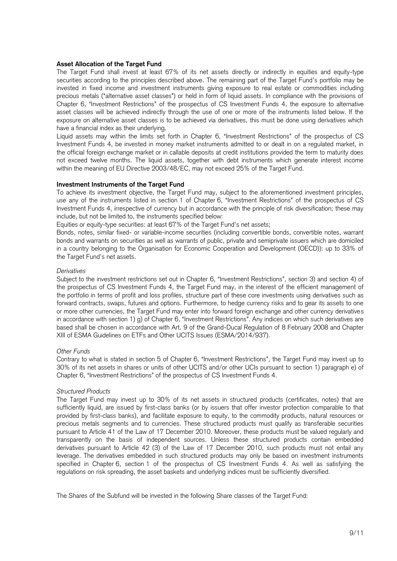## **Asset Allocation of the Target Fund**

The Target Fund shall invest at least 67% of its net assets directly or indirectly in equities and equity-type securities according to the principles described above. The remaining part of the Target Fund's portfolio may be invested in fixed income and investment instruments giving exposure to real estate or commodities including precious metals ("alternative asset classes") or held in form of liquid assets. In compliance with the provisions of Chapter 6, "Investment Restrictions" of the prospectus of CS Investment Funds 4, the exposure to alternative asset classes will be achieved indirectly through the use of one or more of the instruments listed below. If the exposure on alternative asset classes is to be achieved via derivatives, this must be done using derivatives which have a financial index as their underlying.

Liquid assets may within the limits set forth in Chapter 6, "Investment Restrictions" of the prospectus of CS Investment Funds 4, be invested in money market instruments admitted to or dealt in on a regulated market, in the official foreign exchange market or in callable deposits at credit institutions provided the term to maturity does not exceed twelve months. The liquid assets, together with debt instruments which generate interest income within the meaning of EU Directive 2003/48/EC, may not exceed 25% of the Target Fund.

## **Investment Instruments of the Target Fund**

To achieve its investment objective, the Target Fund may, subject to the aforementioned investment principles, use any of the instruments listed in section 1 of Chapter 6, "Investment Restrictions" of the prospectus of CS Investment Funds 4, irrespective of currency but in accordance with the principle of risk diversification; these may include, but not be limited to, the instruments specified below:

Equities or equity-type securities: at least 67% of the Target Fund's net assets;

Bonds, notes, similar fixed- or variable-income securities (including convertible bonds, convertible notes, warrant bonds and warrants on securities as well as warrants of public, private and semiprivate issuers which are domiciled in a country belonging to the Organisation for Economic Cooperation and Development (OECD)): up to 33% of the Target Fund's net assets.

## *Derivatives*

Subject to the investment restrictions set out in Chapter 6, "Investment Restrictions", section 3) and section 4) of the prospectus of CS Investment Funds 4, the Target Fund may, in the interest of the efficient management of the portfolio in terms of profit and loss profiles, structure part of these core investments using derivatives such as forward contracts, swaps, futures and options. Furthermore, to hedge currency risks and to gear its assets to one or more other currencies, the Target Fund may enter into forward foreign exchange and other currency derivatives in accordance with section 1) g) of Chapter 6, "Investment Restrictions". Any indices on which such derivatives are based shall be chosen in accordance with Art. 9 of the Grand-Ducal Regulation of 8 February 2008 and Chapter XIII of ESMA Guidelines on ETFs and Other UCITS Issues (ESMA/2014/937).

# *Other Funds*

Contrary to what is stated in section 5 of Chapter 6, "Investment Restrictions", the Target Fund may invest up to 30% of its net assets in shares or units of other UCITS and/or other UCIs pursuant to section 1) paragraph e) of Chapter 6, "Investment Restrictions" of the prospectus of CS Investment Funds 4.

## *Structured Products*

The Target Fund may invest up to 30% of its net assets in structured products (certificates, notes) that are sufficiently liquid, are issued by first-class banks (or by issuers that offer investor protection comparable to that provided by first-class banks), and facilitate exposure to equity, to the commodity products, natural resources or precious metals segments and to currencies. These structured products must qualify as transferable securities pursuant to Article 41 of the Law of 17 December 2010. Moreover, these products must be valued regularly and transparently on the basis of independent sources. Unless these structured products contain embedded derivatives pursuant to Article 42 (3) of the Law of 17 December 2010, such products must not entail any leverage. The derivatives embedded in such structured products may only be based on investment instruments specified in Chapter 6, section 1 of the prospectus of CS Investment Funds 4. As well as satisfying the regulations on risk spreading, the asset baskets and underlying indices must be sufficiently diversified.

The Shares of the Subfund will be invested in the following Share classes of the Target Fund: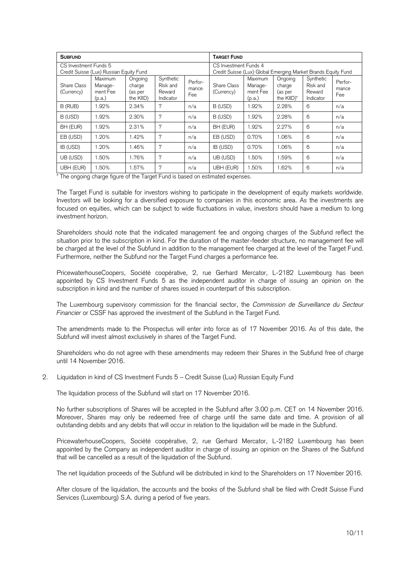| <b>SUBFUND</b>                                                   |                                          |                                           |                                              |                                                                                        | <b>TARGET FUND</b>        |                                          |                                            |                                              |                         |
|------------------------------------------------------------------|------------------------------------------|-------------------------------------------|----------------------------------------------|----------------------------------------------------------------------------------------|---------------------------|------------------------------------------|--------------------------------------------|----------------------------------------------|-------------------------|
| CS Investment Funds 5<br>Credit Suisse (Lux) Russian Equity Fund |                                          |                                           |                                              | CS Investment Funds 4<br>Credit Suisse (Lux) Global Emerging Market Brands Equity Fund |                           |                                          |                                            |                                              |                         |
| Share Class<br>(Currency)                                        | Maximum<br>Manage-<br>ment Fee<br>(p.a.) | Ongoing<br>charge<br>(as per<br>the KIID) | Synthetic<br>Risk and<br>Reward<br>Indicator | Perfor-<br>mance<br>Fee                                                                | Share Class<br>(Currency) | Maximum<br>Manage-<br>ment Fee<br>(p.a.) | Ongoing<br>charge<br>(as per<br>the KIID)* | Synthetic<br>Risk and<br>Reward<br>Indicator | Perfor-<br>mance<br>Fee |
| B (RUB)                                                          | 1.92%                                    | 2.34%                                     | 7                                            | n/a                                                                                    | B (USD)                   | 1.92%                                    | 2.28%                                      | 6                                            | n/a                     |
| B (USD)                                                          | 1.92%                                    | 2.30%                                     | 7                                            | n/a                                                                                    | B (USD)                   | 1.92%                                    | 2.28%                                      | 6                                            | n/a                     |
| BH (EUR)                                                         | 1.92%                                    | 2.31%                                     | 7                                            | n/a                                                                                    | BH (EUR)                  | 1.92%                                    | 2.27%                                      | 6                                            | n/a                     |
| EB (USD)                                                         | 1.20%                                    | 1.42%                                     | 7                                            | n/a                                                                                    | EB (USD)                  | 0.70%                                    | 1.06%                                      | 6                                            | n/a                     |
| IB (USD)                                                         | 1.20%                                    | 1.46%                                     | 7                                            | n/a                                                                                    | IB (USD)                  | 0.70%                                    | 1.06%                                      | 6                                            | n/a                     |
| UB (USD)                                                         | 1.50%                                    | 1.76%                                     | 7                                            | n/a                                                                                    | UB (USD)                  | 1.50%                                    | 1.59%                                      | 6                                            | n/a                     |
| UBH (EUR)                                                        | 1.50%                                    | 1.57%                                     | 7                                            | n/a                                                                                    | UBH (EUR)                 | 1.50%                                    | 1.62%                                      | 6                                            | n/a                     |

\* The ongoing charge figure of the Target Fund is based on estimated expenses.

The Target Fund is suitable for investors wishing to participate in the development of equity markets worldwide. Investors will be looking for a diversified exposure to companies in this economic area. As the investments are focused on equities, which can be subject to wide fluctuations in value, investors should have a medium to long investment horizon.

Shareholders should note that the indicated management fee and ongoing charges of the Subfund reflect the situation prior to the subscription in kind. For the duration of the master-feeder structure, no management fee will be charged at the level of the Subfund in addition to the management fee charged at the level of the Target Fund. Furthermore, neither the Subfund nor the Target Fund charges a performance fee.

PricewaterhouseCoopers, Société coopérative, 2, rue Gerhard Mercator, L-2182 Luxembourg has been appointed by CS Investment Funds 5 as the independent auditor in charge of issuing an opinion on the subscription in kind and the number of shares issued in counterpart of this subscription.

The Luxembourg supervisory commission for the financial sector, the *Commission de Surveillance du Secteur Financier* or CSSF has approved the investment of the Subfund in the Target Fund.

The amendments made to the Prospectus will enter into force as of 17 November 2016. As of this date, the Subfund will invest almost exclusively in shares of the Target Fund.

Shareholders who do not agree with these amendments may redeem their Shares in the Subfund free of charge until 14 November 2016.

2. Liquidation in kind of CS Investment Funds 5 – Credit Suisse (Lux) Russian Equity Fund

The liquidation process of the Subfund will start on 17 November 2016.

No further subscriptions of Shares will be accepted in the Subfund after 3.00 p.m. CET on 14 November 2016. Moreover, Shares may only be redeemed free of charge until the same date and time. A provision of all outstanding debits and any debits that will occur in relation to the liquidation will be made in the Subfund.

PricewaterhouseCoopers, Société coopérative, 2, rue Gerhard Mercator, L-2182 Luxembourg has been appointed by the Company as independent auditor in charge of issuing an opinion on the Shares of the Subfund that will be cancelled as a result of the liquidation of the Subfund.

The net liquidation proceeds of the Subfund will be distributed in kind to the Shareholders on 17 November 2016.

After closure of the liquidation, the accounts and the books of the Subfund shall be filed with Credit Suisse Fund Services (Luxembourg) S.A. during a period of five years.